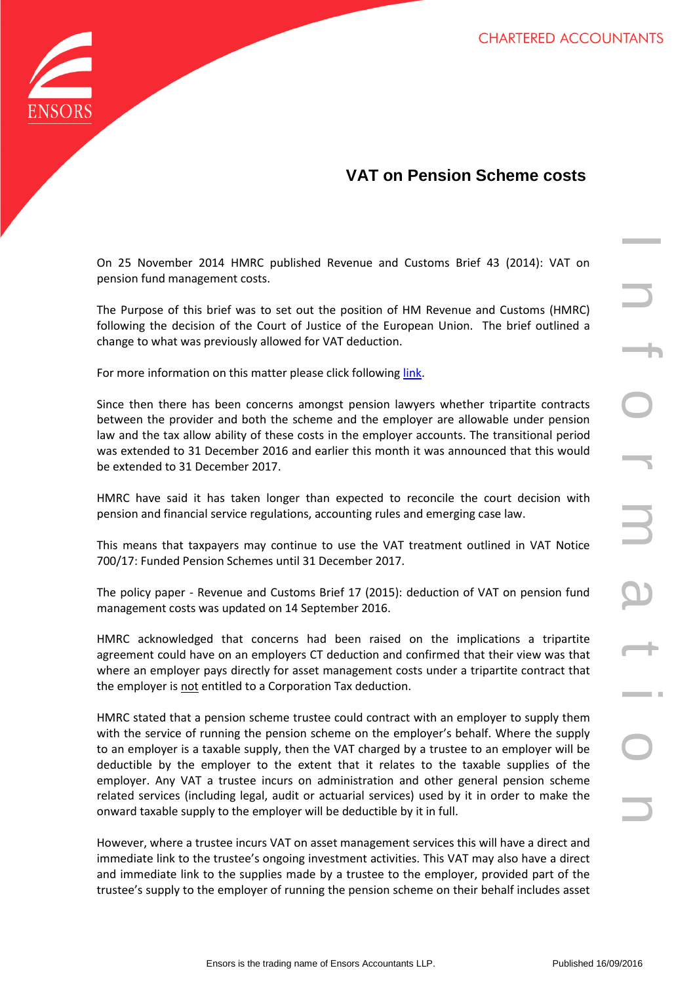

## **VAT on Pension Scheme costs**

On 25 November 2014 HMRC published Revenue and Customs Brief 43 (2014): VAT on pension fund management costs.

The Purpose of this brief was to set out the position of HM Revenue and Customs (HMRC) following the decision of the Court of Justice of the European Union. The brief outlined a change to what was previously allowed for VAT deduction.

For more information on this matter please click following [link.](http://www.ensors.co.uk/resources/briefings/225/vat-update--important-changes-for-pension-schemes/)

Since then there has been concerns amongst pension lawyers whether tripartite contracts between the provider and both the scheme and the employer are allowable under pension law and the tax allow ability of these costs in the employer accounts. The transitional period was extended to 31 December 2016 and earlier this month it was announced that this would be extended to 31 December 2017.

HMRC have said it has taken longer than expected to reconcile the court decision with pension and financial service regulations, accounting rules and emerging case law.

This means that taxpayers may continue to use the VAT treatment outlined in VAT Notice 700/17: Funded Pension Schemes until 31 December 2017.

The policy paper - Revenue and Customs Brief 17 (2015): deduction of VAT on pension fund management costs was updated on 14 September 2016.

HMRC acknowledged that concerns had been raised on the implications a tripartite agreement could have on an employers CT deduction and confirmed that their view was that where an employer pays directly for asset management costs under a tripartite contract that the employer is not entitled to a Corporation Tax deduction.

014 HMRC published Revenue and Customs Brief 43 (2014): VAT on<br>
ement costs.<br>
the frews to set out the position of HM Revenue and Customs (HMRC)<br>
and of the Court of Justice of the European Union. The brief outfined a<br>
non HMRC stated that a pension scheme trustee could contract with an employer to supply them with the service of running the pension scheme on the employer's behalf. Where the supply to an employer is a taxable supply, then the VAT charged by a trustee to an employer will be deductible by the employer to the extent that it relates to the taxable supplies of the employer. Any VAT a trustee incurs on administration and other general pension scheme related services (including legal, audit or actuarial services) used by it in order to make the onward taxable supply to the employer will be deductible by it in full.

However, where a trustee incurs VAT on asset management services this will have a direct and immediate link to the trustee's ongoing investment activities. This VAT may also have a direct and immediate link to the supplies made by a trustee to the employer, provided part of the trustee's supply to the employer of running the pension scheme on their behalf includes asset